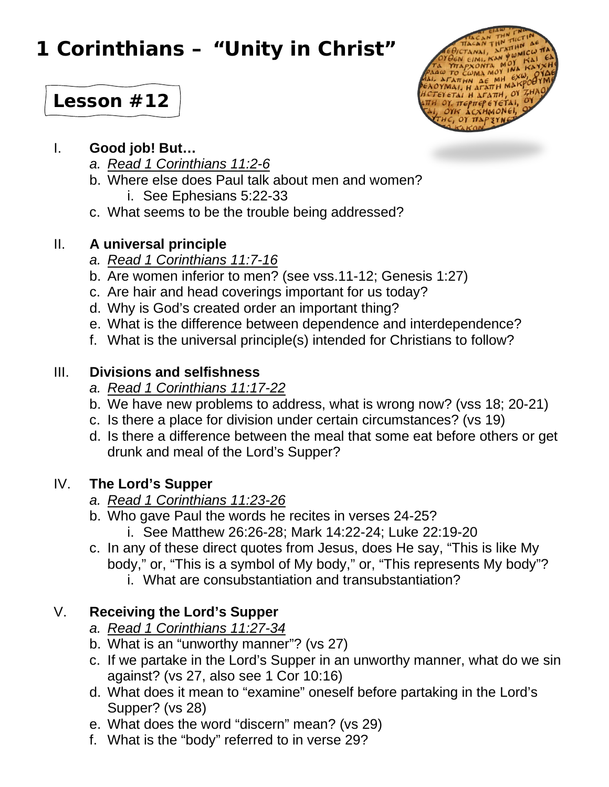# **1 Corinthians – "Unity in Christ"**



# **Lesson #12**

#### I. **Good job! But…**

- *a. Read 1 Corinthians 11:2-6*
- b. Where else does Paul talk about men and women? i. See Ephesians 5:22-33
- c. What seems to be the trouble being addressed?

# II. **A universal principle**

- *a. Read 1 Corinthians 11:7-16*
- b. Are women inferior to men? (see vss.11-12; Genesis 1:27)
- c. Are hair and head coverings important for us today?
- d. Why is God's created order an important thing?
- e. What is the difference between dependence and interdependence?
- f. What is the universal principle(s) intended for Christians to follow?

#### III. **Divisions and selfishness**

- *a. Read 1 Corinthians 11:17-22*
- b. We have new problems to address, what is wrong now? (vss 18; 20-21)
- c. Is there a place for division under certain circumstances? (vs 19)
- d. Is there a difference between the meal that some eat before others or get drunk and meal of the Lord's Supper?

# IV. **The Lord's Supper**

- *a. Read 1 Corinthians 11:23-26*
- b. Who gave Paul the words he recites in verses 24-25?
	- i. See Matthew 26:26-28; Mark 14:22-24; Luke 22:19-20
- c. In any of these direct quotes from Jesus, does He say, "This is like My body," or, "This is a symbol of My body," or, "This represents My body"?
	- i. What are consubstantiation and transubstantiation?

# V. **Receiving the Lord's Supper**

- *a. Read 1 Corinthians 11:27-34*
- b. What is an "unworthy manner"? (vs 27)
- c. If we partake in the Lord's Supper in an unworthy manner, what do we sin against? (vs 27, also see 1 Cor 10:16)
- d. What does it mean to "examine" oneself before partaking in the Lord's Supper? (vs 28)
- e. What does the word "discern" mean? (vs 29)
- f. What is the "body" referred to in verse 29?